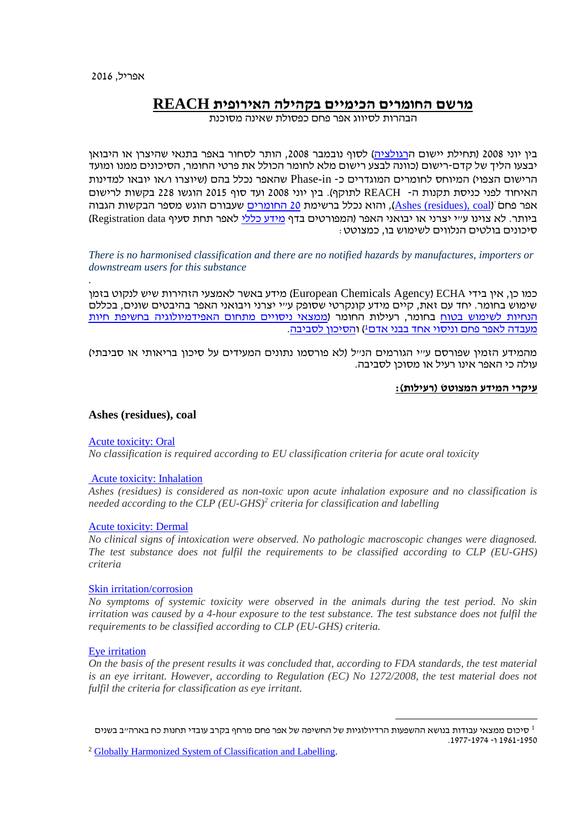*.*

# **מרשם החומרים הכימיים בקהילה האירופית REACH**

הבהרות לסיווג אפר פחם כפסולת שאינה מסוכנת

בין יוני 2008 (תחילת יישום הרגולציה) לסוף נובמבר 2008, הותר לסחור באפר בתנאי שהיצרן או היבואן יבצעו הליך של קדם-רישום )כוונה לבצע רישום מלא לחומר הכולל את פרטי החומר, הסיכונים ממנו ומועד הרישום הצפוי( המיוחס לחומרים המוגדרים כ- in-Phase שהאפר נכלל בהם )שיוצרו ו/או יובאו למדינות האיחוד לפני כניסת תקנות ה- REACH לתוקף(. בין יוני 2008 ועד סוף 2015 הוגשו 228 בקשות לרישום והוא נכלל ברשימת 20 [החומרים](http://echa.europa.eu/regulations/reach/registration/registration-statistics/most-frequently-registered-substances) שעבורם הוגש מספר הבקשות הגבוה (Ashes (residues), coal הגבוה ביותר. לא צוינו ע״י יצרני או יבואני האפר (המפורטים בדף <u>מידע כללי</u> לאפר תחת סעיף Registration data) סיכונים בולטים הנלווים לשימוש בו, כמצוטט:

# *There is no harmonised classification and there are no notified hazards by manufactures, importers or downstream users for this substance*

כמו כן, אין בידי ECHA( Agency Chemicals European )מידע באשר לאמצעי הזהירות שיש לנקוט בזמן שימוש בחומר. יחד עם זאת, קיים מידע קונקרטי שסופק ע"י יצרני ויבואני האפר בהיבטים שונים, בכללם [הנחיות לשימוש בטוח](http://echa.europa.eu/registration-dossier/-/registered-dossier/15573/9) בחומר, רעילות החומר )ממצאי ניסויים [מתחום האפידמיולוגיה](http://echa.europa.eu/registration-dossier/-/registered-dossier/15573/7/11/3) בחשיפת חיות מעבדה לאפר פחם וניסוי אחד בבני אדם<sup>1</sup>( [והסיכון לסביבה.](http://echa.europa.eu/registration-dossier/-/registered-dossier/15573/6/1)

מהמידע הזמין שפורסם ע"י הגורמים הנ"ל )לא פורסמו נתונים המעידים על סיכון בריאותי או סביבתי( עולה כי האפר אינו רעיל או מסוכן לסביבה.

# **עיקרי המידע המצוטט )רעילות(:**

## **Ashes (residues), coal**

## [Acute toxicity: Oral](http://echa.europa.eu/registration-dossier/-/registered-dossier/15573/7/3/2)

*No classification is required according to EU classification criteria for acute oral toxicity*

## [Acute toxicity: Inhalation](http://echa.europa.eu/registration-dossier/-/registered-dossier/15573/7/3/3)

*Ashes (residues) is considered as non-toxic upon acute inhalation exposure and no classification is needed according to the CLP (EU-GHS)<sup>2</sup> criteria for classification and labelling*

## [Acute toxicity: Dermal](http://echa.europa.eu/registration-dossier/-/registered-dossier/15573/7/3/4)

*No clinical signs of intoxication were observed. No pathologic macroscopic changes were diagnosed. The test substance does not fulfil the requirements to be classified according to CLP (EU-GHS) criteria*

## [Skin irritation/corrosion](http://echa.europa.eu/registration-dossier/-/registered-dossier/15573/7/4/2)

*No symptoms of systemic toxicity were observed in the animals during the test period. No skin irritation was caused by a 4-hour exposure to the test substance. The test substance does not fulfil the requirements to be classified according to CLP (EU-GHS) criteria.*

## [Eye irritation](http://echa.europa.eu/registration-dossier/-/registered-dossier/15573/7/4/3)

*On the basis of the present results it was concluded that, according to FDA standards, the test material is an eye irritant. However, according to Regulation (EC) No 1272/2008, the test material does not fulfil the criteria for classification as eye irritant.*

1 סיכום ממצאי עבודות בנושא ההשפעות הרדיולוגיות של החשיפה של אפר פחם מרחף בקרב עובדי תחנות כח בארה"ב בשנים 1961-1950 ו- .1977-1974

 $\overline{a}$ 

<sup>2</sup> [Globally Harmonized System of Classification](http://www.unece.org/trans/danger/publi/ghs/ghs_welcome_e.html) and Labelling.